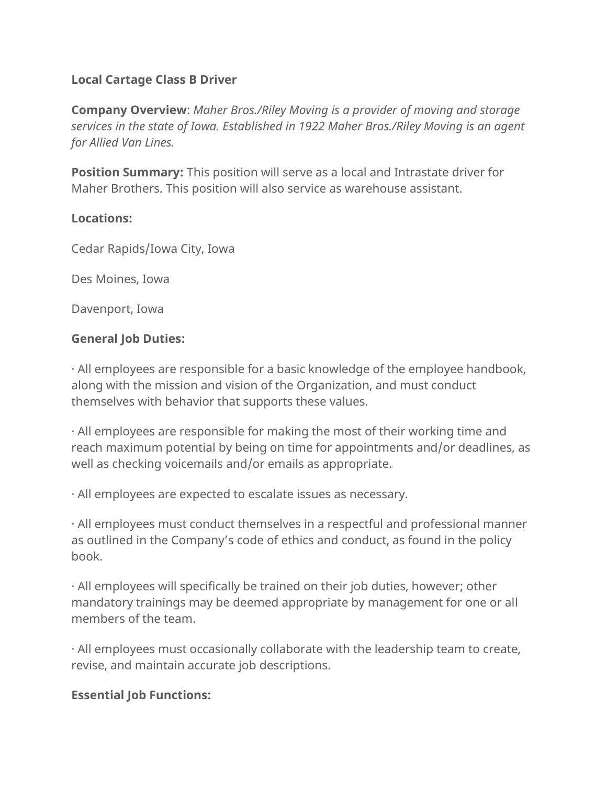# **Local Cartage Class B Driver**

**Company Overview**: *Maher Bros./Riley Moving is a provider of moving and storage services in the state of Iowa. Established in 1922 Maher Bros./Riley Moving is an agent for Allied Van Lines.*

**Position Summary:** This position will serve as a local and Intrastate driver for Maher Brothers. This position will also service as warehouse assistant.

#### **Locations:**

Cedar Rapids/Iowa City, Iowa

Des Moines, Iowa

Davenport, Iowa

### **General Job Duties:**

· All employees are responsible for a basic knowledge of the employee handbook, along with the mission and vision of the Organization, and must conduct themselves with behavior that supports these values.

· All employees are responsible for making the most of their working time and reach maximum potential by being on time for appointments and/or deadlines, as well as checking voicemails and/or emails as appropriate.

· All employees are expected to escalate issues as necessary.

· All employees must conduct themselves in a respectful and professional manner as outlined in the Company's code of ethics and conduct, as found in the policy book.

· All employees will specifically be trained on their job duties, however; other mandatory trainings may be deemed appropriate by management for one or all members of the team.

· All employees must occasionally collaborate with the leadership team to create, revise, and maintain accurate job descriptions.

### **Essential Job Functions:**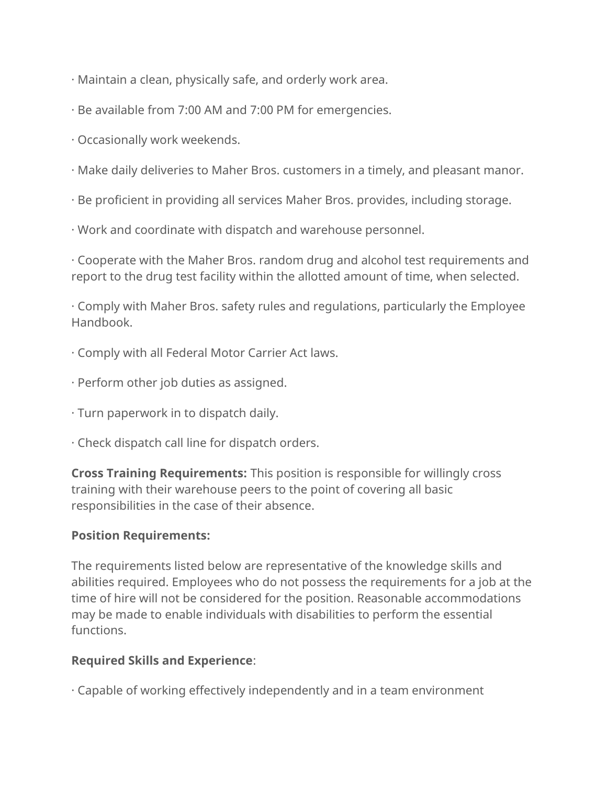- · Maintain a clean, physically safe, and orderly work area.
- · Be available from 7:00 AM and 7:00 PM for emergencies.
- · Occasionally work weekends.
- · Make daily deliveries to Maher Bros. customers in a timely, and pleasant manor.
- · Be proficient in providing all services Maher Bros. provides, including storage.
- · Work and coordinate with dispatch and warehouse personnel.

· Cooperate with the Maher Bros. random drug and alcohol test requirements and report to the drug test facility within the allotted amount of time, when selected.

· Comply with Maher Bros. safety rules and regulations, particularly the Employee Handbook.

- · Comply with all Federal Motor Carrier Act laws.
- · Perform other job duties as assigned.
- · Turn paperwork in to dispatch daily.
- · Check dispatch call line for dispatch orders.

**Cross Training Requirements:** This position is responsible for willingly cross training with their warehouse peers to the point of covering all basic responsibilities in the case of their absence.

# **Position Requirements:**

The requirements listed below are representative of the knowledge skills and abilities required. Employees who do not possess the requirements for a job at the time of hire will not be considered for the position. Reasonable accommodations may be made to enable individuals with disabilities to perform the essential functions.

# **Required Skills and Experience**:

· Capable of working effectively independently and in a team environment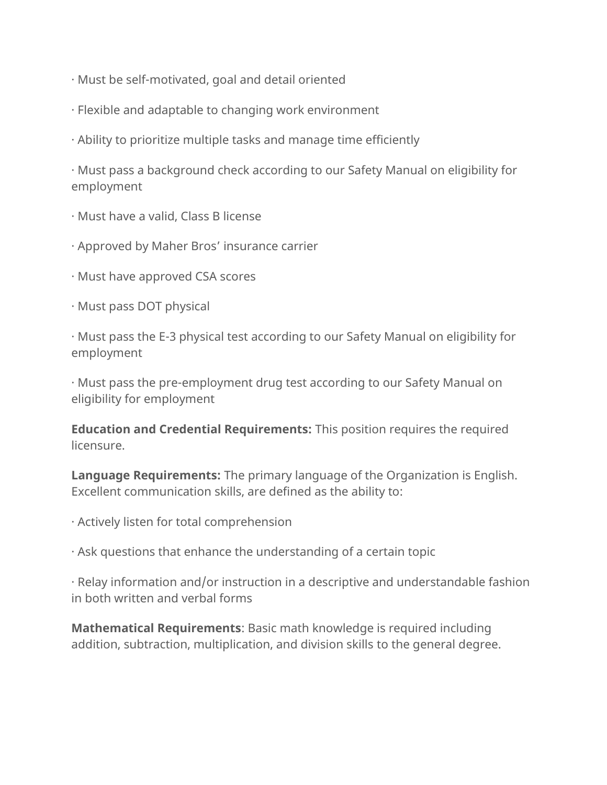- · Must be self-motivated, goal and detail oriented
- · Flexible and adaptable to changing work environment
- · Ability to prioritize multiple tasks and manage time efficiently

· Must pass a background check according to our Safety Manual on eligibility for employment

- · Must have a valid, Class B license
- · Approved by Maher Bros' insurance carrier
- · Must have approved CSA scores
- · Must pass DOT physical

· Must pass the E-3 physical test according to our Safety Manual on eligibility for employment

· Must pass the pre-employment drug test according to our Safety Manual on eligibility for employment

**Education and Credential Requirements:** This position requires the required licensure.

**Language Requirements:** The primary language of the Organization is English. Excellent communication skills, are defined as the ability to:

- · Actively listen for total comprehension
- · Ask questions that enhance the understanding of a certain topic

· Relay information and/or instruction in a descriptive and understandable fashion in both written and verbal forms

**Mathematical Requirements**: Basic math knowledge is required including addition, subtraction, multiplication, and division skills to the general degree.